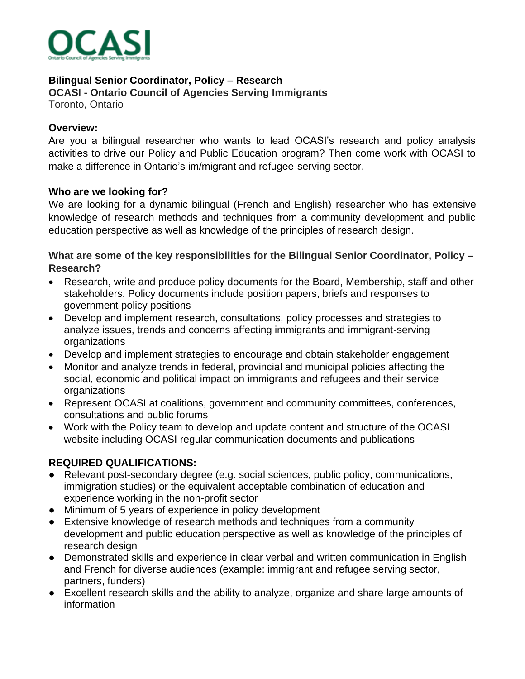

#### **Bilingual Senior Coordinator, Policy – Research OCASI - Ontario Council of Agencies Serving Immigrants**

Toronto, Ontario

## **Overview:**

Are you a bilingual researcher who wants to lead OCASI's research and policy analysis activities to drive our Policy and Public Education program? Then come work with OCASI to make a difference in Ontario's im/migrant and refugee-serving sector.

## **Who are we looking for?**

We are looking for a dynamic bilingual (French and English) researcher who has extensive knowledge of research methods and techniques from a community development and public education perspective as well as knowledge of the principles of research design.

## **What are some of the key responsibilities for the Bilingual Senior Coordinator, Policy – Research?**

- Research, write and produce policy documents for the Board, Membership, staff and other stakeholders. Policy documents include position papers, briefs and responses to government policy positions
- Develop and implement research, consultations, policy processes and strategies to analyze issues, trends and concerns affecting immigrants and immigrant-serving organizations
- Develop and implement strategies to encourage and obtain stakeholder engagement
- Monitor and analyze trends in federal, provincial and municipal policies affecting the social, economic and political impact on immigrants and refugees and their service organizations
- Represent OCASI at coalitions, government and community committees, conferences, consultations and public forums
- Work with the Policy team to develop and update content and structure of the OCASI website including OCASI regular communication documents and publications

# **REQUIRED QUALIFICATIONS:**

- Relevant post-secondary degree (e.g. social sciences, public policy, communications, immigration studies) or the equivalent acceptable combination of education and experience working in the non-profit sector
- Minimum of 5 years of experience in policy development
- Extensive knowledge of research methods and techniques from a community development and public education perspective as well as knowledge of the principles of research design
- Demonstrated skills and experience in clear verbal and written communication in English and French for diverse audiences (example: immigrant and refugee serving sector, partners, funders)
- Excellent research skills and the ability to analyze, organize and share large amounts of information